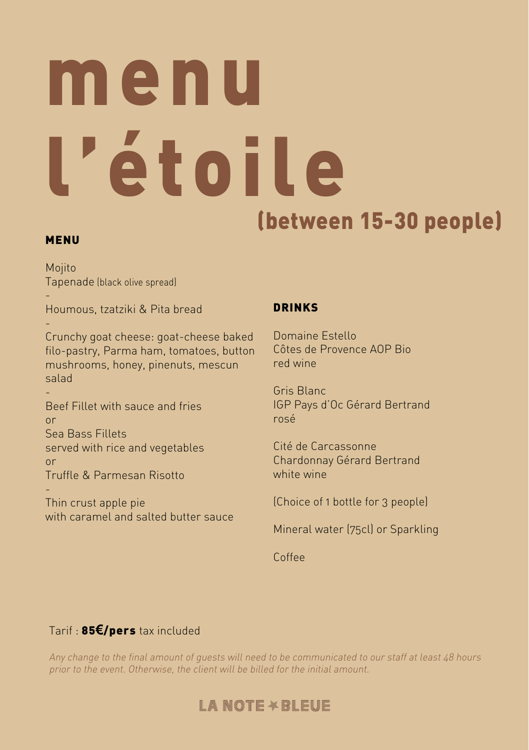## menu l'étoile (between 15-30 people)

### MENU

Mojito Tapenade (black olive spread)

- Houmous, tzatziki & Pita bread

- Crunchy goat cheese: goat-cheese baked filo-pastry, Parma ham, tomatoes, button mushrooms, honey, pinenuts, mescun salad

- Beef Fillet with sauce and fries or Sea Bass Fillets served with rice and vegetables or Truffle & Parmesan Risotto

- Thin crust apple pie with caramel and salted butter sauce

## DRINKS

Domaine Estello Côtes de Provence AOP Bio red wine

Gris Blanc IGP Pays d'Oc Gérard Bertrand rosé

Cité de Carcassonne Chardonnay Gérard Bertrand white wine

(Choice of 1 bottle for 3 people)

Mineral water (75cl) or Sparkling

Coffee

## Tarif : 85**€**/pers tax included

Any change to the final amount of guests will need to be communicated to our staff at least 48 hours prior to the event. Otherwise, the client will be billed for the initial amount.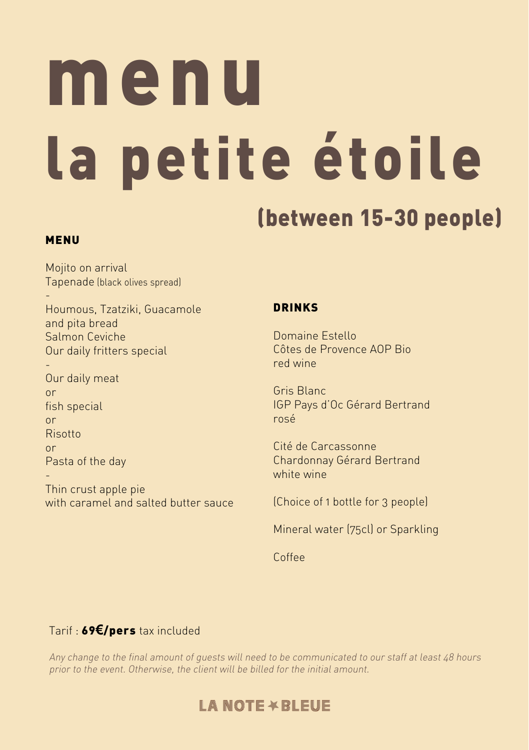## menu la petite étoile

## (between 15-30 people)

### MENU

Mojito on arrival Tapenade (black olives spread)

- Houmous, Tzatziki, Guacamole and pita bread Salmon Ceviche Our daily fritters special

- Our daily meat or fish special or Risotto or Pasta of the day -

Thin crust apple pie with caramel and salted butter sauce

## DRINKS

Domaine Estello Côtes de Provence AOP Bio red wine

Gris Blanc IGP Pays d'Oc Gérard Bertrand rosé

Cité de Carcassonne Chardonnay Gérard Bertrand white wine

(Choice of 1 bottle for 3 people)

Mineral water (75cl) or Sparkling

Coffee

## Tarif : 69**€**/pers tax included

Any change to the final amount of guests will need to be communicated to our staff at least 48 hours prior to the event. Otherwise, the client will be billed for the initial amount.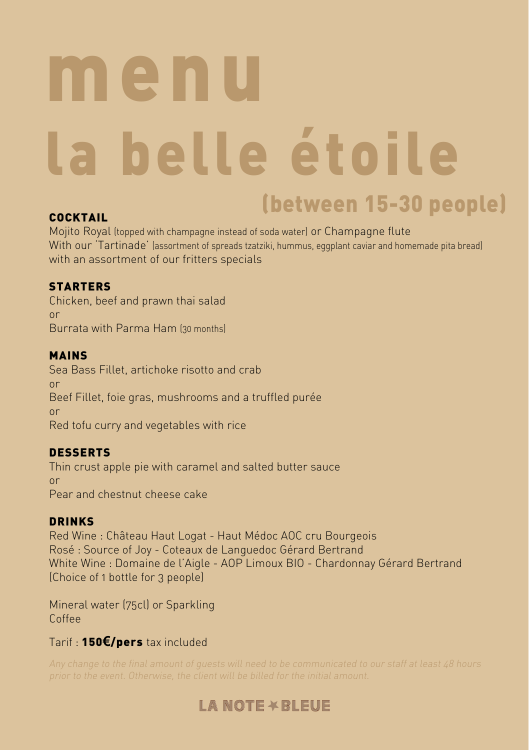## menu la belle étoile (between 15-30 people)

### COCKTAIL

Mojito Royal (topped with champagne instead of soda water) or Champagne flute With our 'Tartinade' (assortment of spreads tzatziki, hummus, eggplant caviar and homemade pita bread) with an assortment of our fritters specials

## **STARTERS**

Chicken, beef and prawn thai salad or Burrata with Parma Ham (30 months)

## MAINS

Sea Bass Fillet, artichoke risotto and crab or Beef Fillet, foie gras, mushrooms and a truffled purée or Red tofu curry and vegetables with rice

## DESSERTS

Thin crust apple pie with caramel and salted butter sauce or Pear and chestnut cheese cake

## DRINKS

Red Wine : Château Haut Logat - Haut Médoc AOC cru Bourgeois Rosé : Source of Joy - Coteaux de Languedoc Gérard Bertrand White Wine : Domaine de l'Aigle - AOP Limoux BIO - Chardonnay Gérard Bertrand (Choice of 1 bottle for 3 people)

Mineral water (75cl) or Sparkling Coffee

## Tarif : 150**€**/pers tax included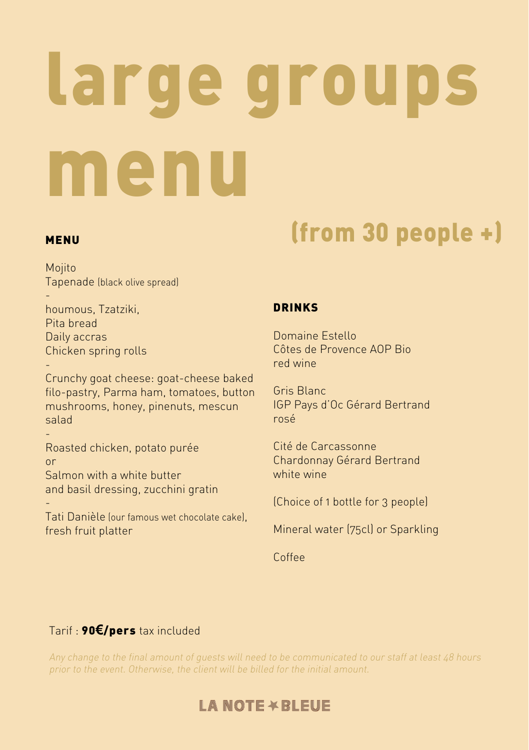# large groups menu

-

-

Mojito Tapenade (black olive spread)

 houmous, Tzatziki, Pita bread Daily accras Chicken spring rolls

Crunchy goat cheese: goat-cheese baked filo-pastry, Parma ham, tomatoes, button mushrooms, honey, pinenuts, mescun salad

- Roasted chicken, potato purée or Salmon with a white butter and basil dressing, zucchini gratin

Tati Danièle (our famous wet chocolate cake), fresh fruit platter

## MENU MENU (from 30 people +)

## DRINKS

Domaine Estello Côtes de Provence AOP Bio red wine

Gris Blanc IGP Pays d'Oc Gérard Bertrand rosé

Cité de Carcassonne Chardonnay Gérard Bertrand white wine

(Choice of 1 bottle for 3 people)

Mineral water (75cl) or Sparkling

Coffee

## Tarif : 90**€**/pers tax included

Any change to the final amount of guests will need to be communicated to our staff at least 48 hours prior to the event. Otherwise, the client will be billed for the initial amount.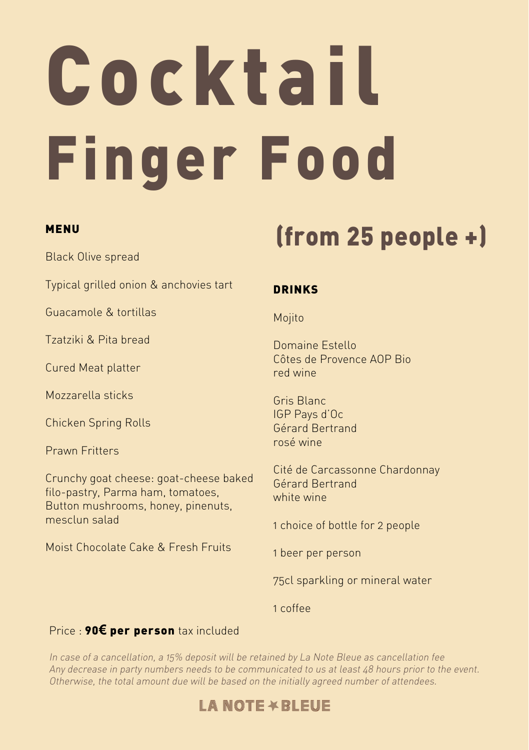# Cocktail Finger Food

### MENU

Black Olive spread

Typical grilled onion & anchovies tart

Guacamole & tortillas

Tzatziki & Pita bread

Cured Meat platter

Mozzarella sticks

Chicken Spring Rolls

Prawn Fritters

Crunchy goat cheese: goat-cheese baked filo-pastry, Parma ham, tomatoes, Button mushrooms, honey, pinenuts, mesclun salad

Moist Chocolate Cake & Fresh Fruits

## (from 25 people +)

## DRINKS

Mojito

Domaine Estello Côtes de Provence AOP Bio red wine

Gris Blanc IGP Pays d'Oc Gérard Bertrand rosé wine

Cité de Carcassonne Chardonnay Gérard Bertrand white wine

1 choice of bottle for 2 people

1 beer per person

75cl sparkling or mineral water

1 coffee

## Price : 90**€** per person tax included

In case of a cancellation, a 15% deposit will be retained by La Note Bleue as cancellation fee Any decrease in party numbers needs to be communicated to us at least 48 hours prior to the event. Otherwise, the total amount due will be based on the initially agreed number of attendees.